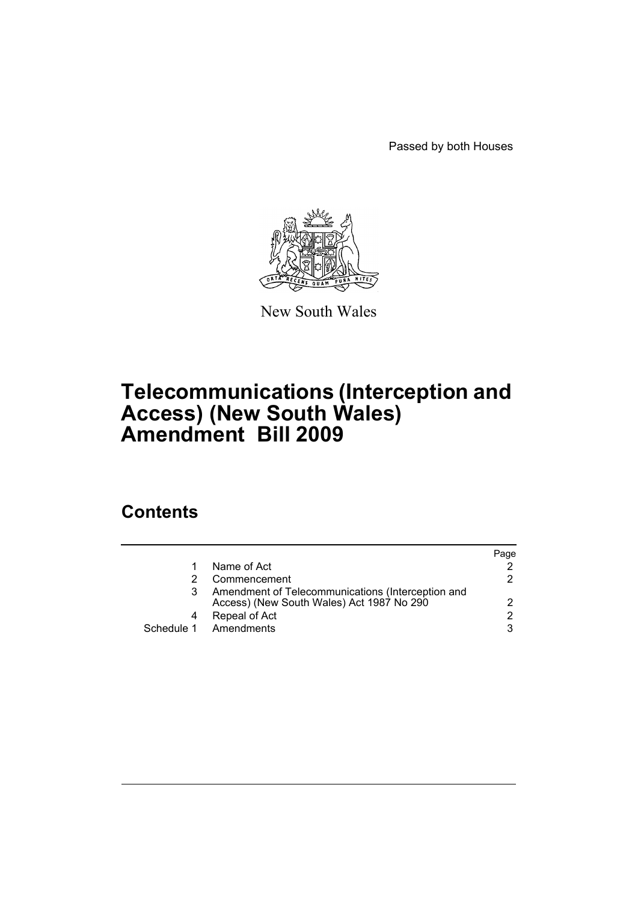Passed by both Houses



New South Wales

# **Telecommunications (Interception and Access) (New South Wales) Amendment Bill 2009**

# **Contents**

|   |                                                                                                | Page |
|---|------------------------------------------------------------------------------------------------|------|
|   | Name of Act                                                                                    |      |
|   | Commencement                                                                                   | 2.   |
| 3 | Amendment of Telecommunications (Interception and<br>Access) (New South Wales) Act 1987 No 290 |      |
| 4 | Repeal of Act                                                                                  | 2    |
|   | Schedule 1 Amendments                                                                          | 3    |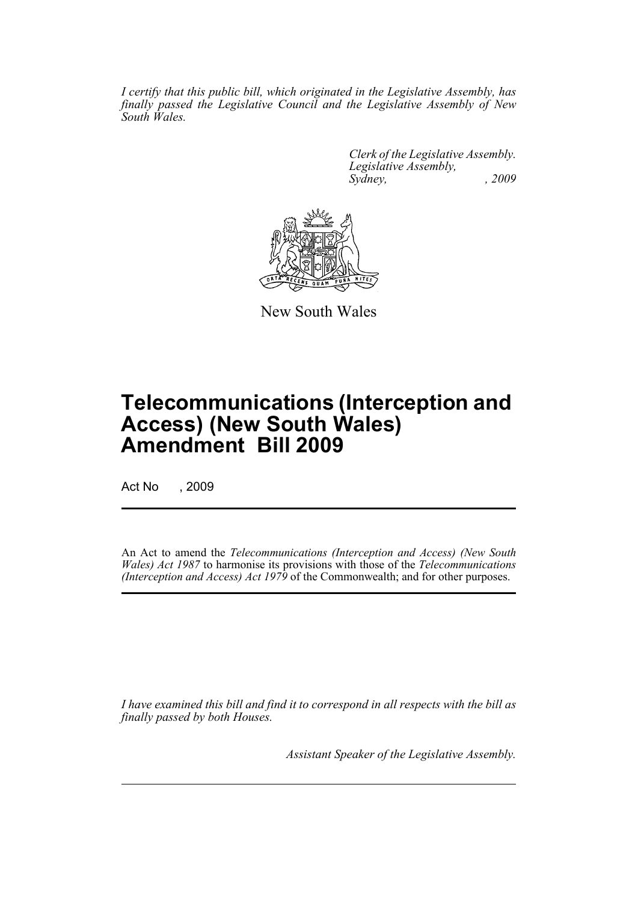*I certify that this public bill, which originated in the Legislative Assembly, has finally passed the Legislative Council and the Legislative Assembly of New South Wales.*

> *Clerk of the Legislative Assembly. Legislative Assembly, Sydney, , 2009*



New South Wales

# **Telecommunications (Interception and Access) (New South Wales) Amendment Bill 2009**

Act No , 2009

An Act to amend the *Telecommunications (Interception and Access) (New South Wales) Act 1987* to harmonise its provisions with those of the *Telecommunications (Interception and Access) Act 1979* of the Commonwealth; and for other purposes.

*I have examined this bill and find it to correspond in all respects with the bill as finally passed by both Houses.*

*Assistant Speaker of the Legislative Assembly.*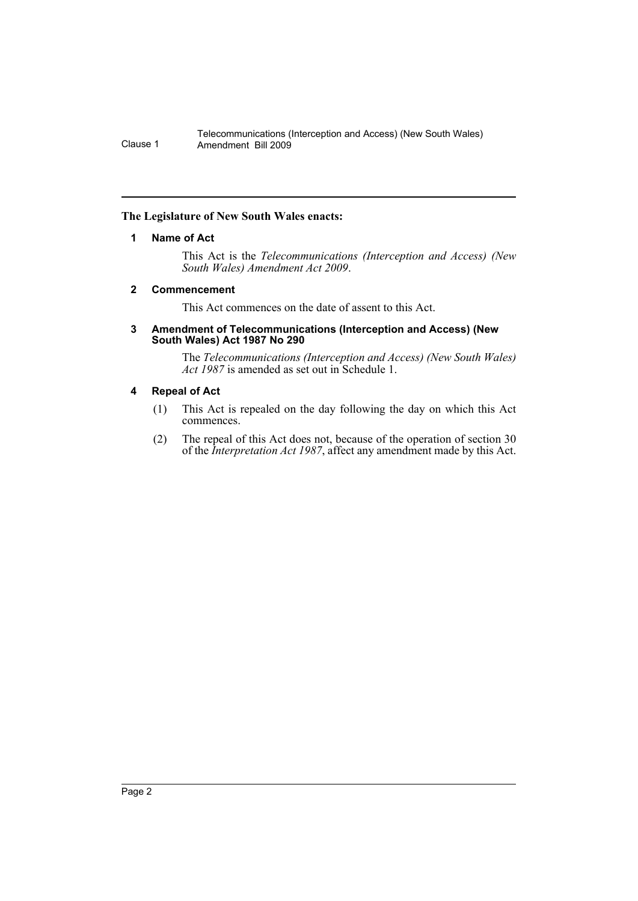#### <span id="page-2-0"></span>**The Legislature of New South Wales enacts:**

## **1 Name of Act**

This Act is the *Telecommunications (Interception and Access) (New South Wales) Amendment Act 2009*.

#### <span id="page-2-1"></span>**2 Commencement**

This Act commences on the date of assent to this Act.

#### <span id="page-2-2"></span>**3 Amendment of Telecommunications (Interception and Access) (New South Wales) Act 1987 No 290**

The *Telecommunications (Interception and Access) (New South Wales) Act 1987* is amended as set out in Schedule 1.

## <span id="page-2-3"></span>**4 Repeal of Act**

- (1) This Act is repealed on the day following the day on which this Act commences.
- (2) The repeal of this Act does not, because of the operation of section 30 of the *Interpretation Act 1987*, affect any amendment made by this Act.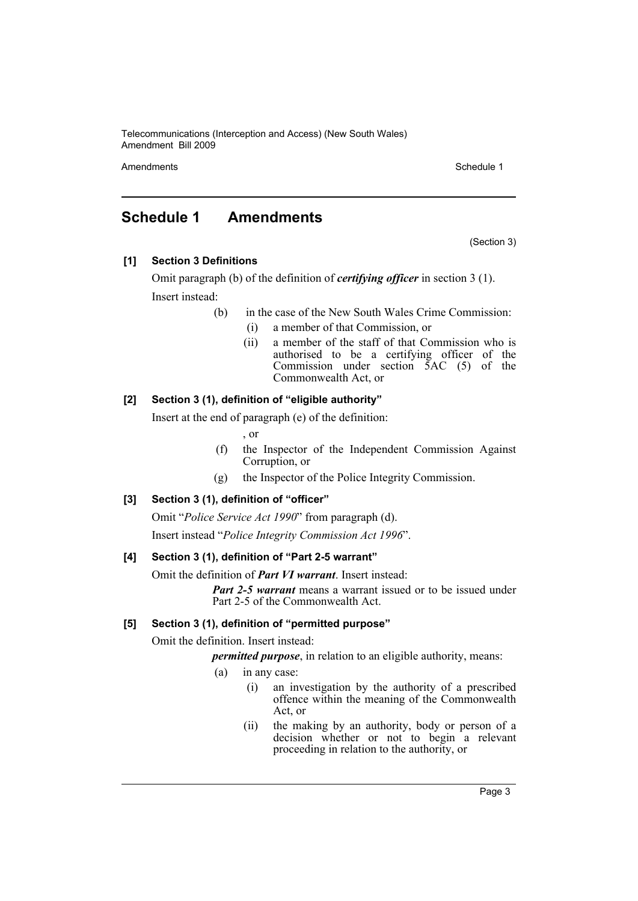Amendments **Schedule 1** and the set of the set of the set of the set of the set of the set of the set of the set of the set of the set of the set of the set of the set of the set of the set of the set of the set of the set

# <span id="page-3-0"></span>**Schedule 1 Amendments**

(Section 3)

**[1] Section 3 Definitions**

Omit paragraph (b) of the definition of *certifying officer* in section 3 (1). Insert instead:

(b) in the case of the New South Wales Crime Commission:

- (i) a member of that Commission, or
- (ii) a member of the staff of that Commission who is authorised to be a certifying officer of the Commission under section  $\bar{5}AC$  (5) of the Commonwealth Act, or

# **[2] Section 3 (1), definition of "eligible authority"**

Insert at the end of paragraph (e) of the definition:

, or

- (f) the Inspector of the Independent Commission Against Corruption, or
- (g) the Inspector of the Police Integrity Commission.

# **[3] Section 3 (1), definition of "officer"**

Omit "*Police Service Act 1990*" from paragraph (d). Insert instead "*Police Integrity Commission Act 1996*".

# **[4] Section 3 (1), definition of "Part 2-5 warrant"**

Omit the definition of *Part VI warrant*. Insert instead:

*Part 2-5 warrant* means a warrant issued or to be issued under Part 2-5 of the Commonwealth Act.

# **[5] Section 3 (1), definition of "permitted purpose"**

Omit the definition. Insert instead:

*permitted purpose*, in relation to an eligible authority, means:

- (a) in any case:
	- (i) an investigation by the authority of a prescribed offence within the meaning of the Commonwealth Act, or
	- (ii) the making by an authority, body or person of a decision whether or not to begin a relevant proceeding in relation to the authority, or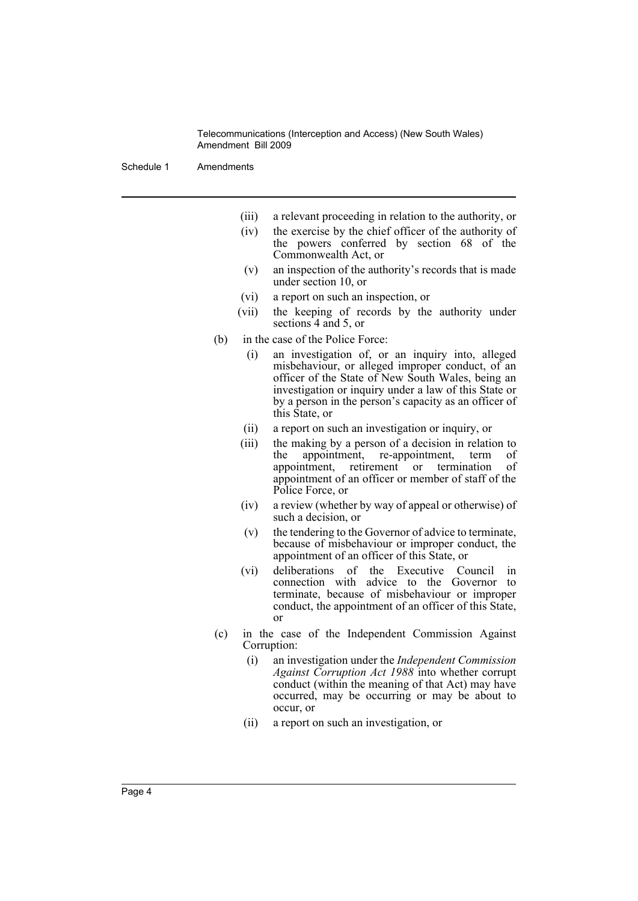Schedule 1 Amendments

- (iii) a relevant proceeding in relation to the authority, or
- (iv) the exercise by the chief officer of the authority of the powers conferred by section 68 of the Commonwealth Act, or
- (v) an inspection of the authority's records that is made under section 10, or
- (vi) a report on such an inspection, or
- (vii) the keeping of records by the authority under sections 4 and 5, or
- (b) in the case of the Police Force:
	- (i) an investigation of, or an inquiry into, alleged misbehaviour, or alleged improper conduct, of an officer of the State of New South Wales, being an investigation or inquiry under a law of this State or by a person in the person's capacity as an officer of this State, or
	- (ii) a report on such an investigation or inquiry, or
	- (iii) the making by a person of a decision in relation to the appointment, re-appointment, term of appointment, retirement or termination of appointment of an officer or member of staff of the Police Force, or
	- (iv) a review (whether by way of appeal or otherwise) of such a decision, or
	- (v) the tendering to the Governor of advice to terminate, because of misbehaviour or improper conduct, the appointment of an officer of this State, or
	- (vi) deliberations of the Executive Council in connection with advice to the Governor to terminate, because of misbehaviour or improper conduct, the appointment of an officer of this State, or
- (c) in the case of the Independent Commission Against Corruption:
	- (i) an investigation under the *Independent Commission Against Corruption Act 1988* into whether corrupt conduct (within the meaning of that Act) may have occurred, may be occurring or may be about to occur, or
	- (ii) a report on such an investigation, or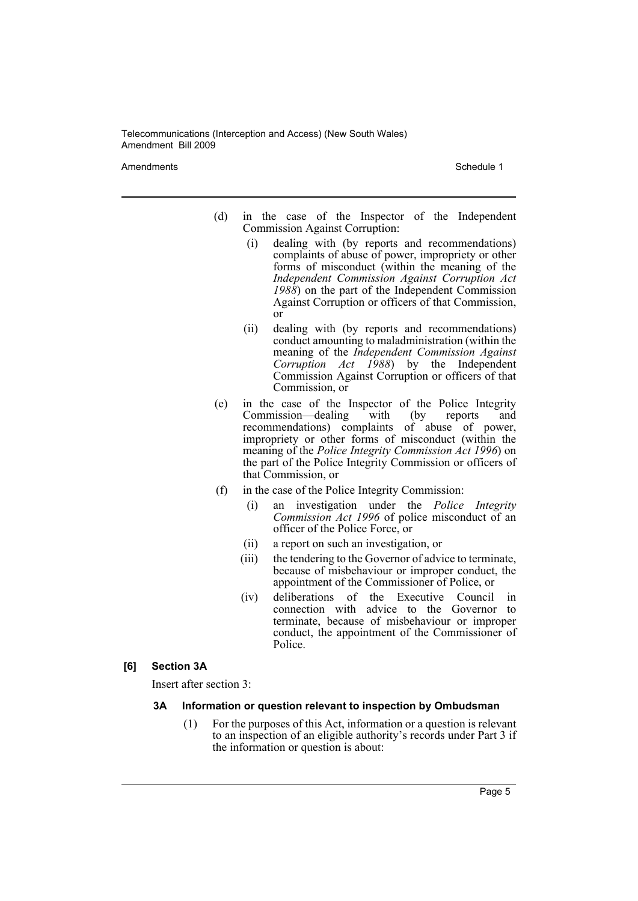Amendments **Schedule 1** Schedule 1

- (d) in the case of the Inspector of the Independent Commission Against Corruption:
	- (i) dealing with (by reports and recommendations) complaints of abuse of power, impropriety or other forms of misconduct (within the meaning of the *Independent Commission Against Corruption Act 1988*) on the part of the Independent Commission Against Corruption or officers of that Commission, or
	- (ii) dealing with (by reports and recommendations) conduct amounting to maladministration (within the meaning of the *Independent Commission Against Corruption Act 1988*) by the Independent Commission Against Corruption or officers of that Commission, or
- (e) in the case of the Inspector of the Police Integrity Commission—dealing with (by reports and recommendations) complaints of abuse of power, impropriety or other forms of misconduct (within the meaning of the *Police Integrity Commission Act 1996*) on the part of the Police Integrity Commission or officers of that Commission, or
- (f) in the case of the Police Integrity Commission:
	- (i) an investigation under the *Police Integrity Commission Act 1996* of police misconduct of an officer of the Police Force, or
	- (ii) a report on such an investigation, or
	- (iii) the tendering to the Governor of advice to terminate, because of misbehaviour or improper conduct, the appointment of the Commissioner of Police, or
	- (iv) deliberations of the Executive Council in connection with advice to the Governor to terminate, because of misbehaviour or improper conduct, the appointment of the Commissioner of Police.

#### **[6] Section 3A**

Insert after section 3:

#### **3A Information or question relevant to inspection by Ombudsman**

(1) For the purposes of this Act, information or a question is relevant to an inspection of an eligible authority's records under Part 3 if the information or question is about: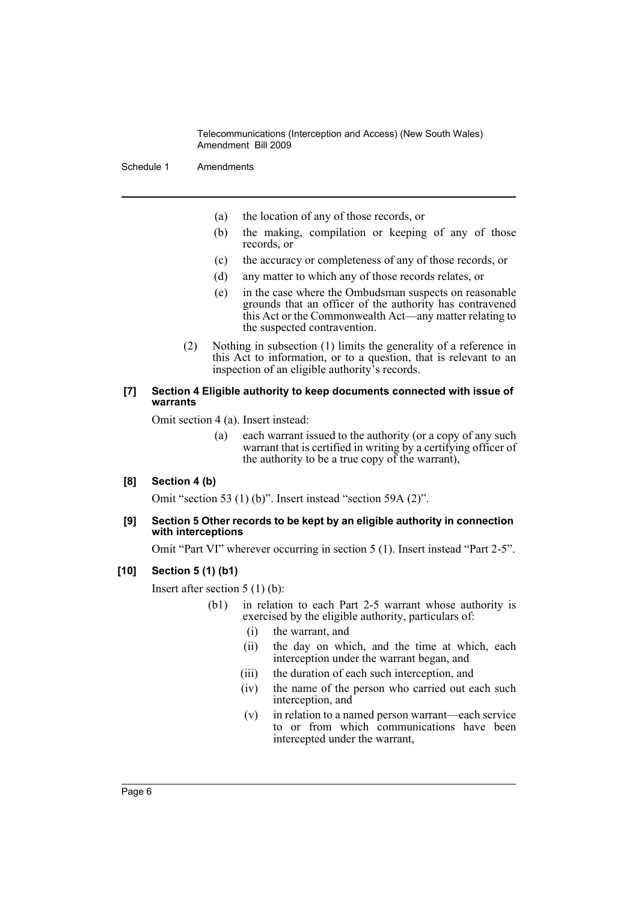Schedule 1 Amendments

- (a) the location of any of those records, or
- (b) the making, compilation or keeping of any of those records, or
- (c) the accuracy or completeness of any of those records, or
- (d) any matter to which any of those records relates, or
- (e) in the case where the Ombudsman suspects on reasonable grounds that an officer of the authority has contravened this Act or the Commonwealth Act—any matter relating to the suspected contravention.
- (2) Nothing in subsection (1) limits the generality of a reference in this Act to information, or to a question, that is relevant to an inspection of an eligible authority's records.

#### **[7] Section 4 Eligible authority to keep documents connected with issue of warrants**

Omit section 4 (a). Insert instead:

(a) each warrant issued to the authority (or a copy of any such warrant that is certified in writing by a certifying officer of the authority to be a true copy of the warrant),

#### **[8] Section 4 (b)**

Omit "section 53 (1) (b)". Insert instead "section 59A (2)".

#### **[9] Section 5 Other records to be kept by an eligible authority in connection with interceptions**

Omit "Part VI" wherever occurring in section 5 (1). Insert instead "Part 2-5".

#### **[10] Section 5 (1) (b1)**

Insert after section 5 (1) (b):

- (b1) in relation to each Part 2-5 warrant whose authority is exercised by the eligible authority, particulars of:
	- (i) the warrant, and
	- (ii) the day on which, and the time at which, each interception under the warrant began, and
	- (iii) the duration of each such interception, and
	- (iv) the name of the person who carried out each such interception, and
	- (v) in relation to a named person warrant—each service to or from which communications have been intercepted under the warrant,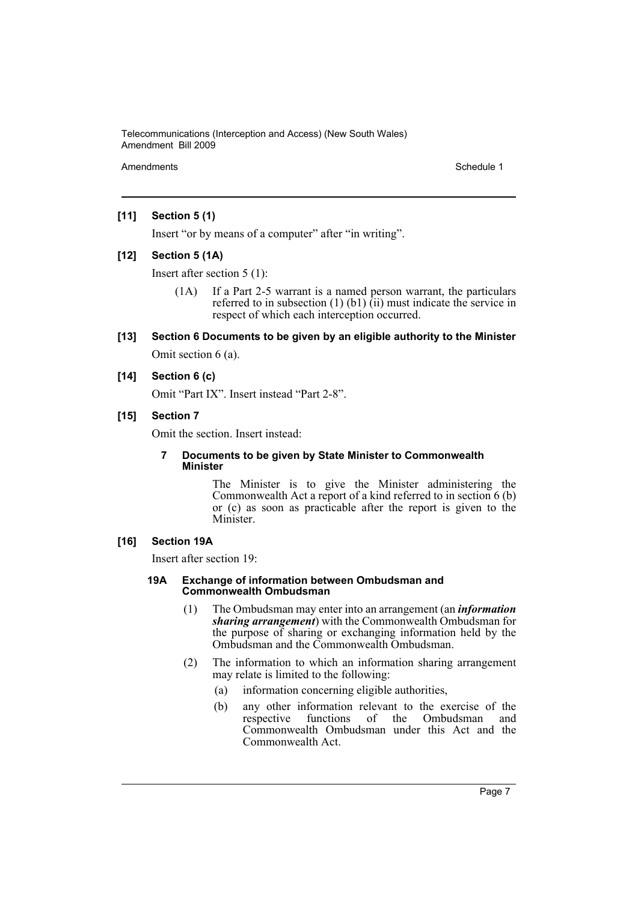Amendments **Schedule 1** and the set of the set of the set of the set of the set of the set of the set of the set of the set of the set of the set of the set of the set of the set of the set of the set of the set of the set

#### **[11] Section 5 (1)**

Insert "or by means of a computer" after "in writing".

#### **[12] Section 5 (1A)**

Insert after section 5 (1):

(1A) If a Part 2-5 warrant is a named person warrant, the particulars referred to in subsection  $(1)$   $(b1)$   $(ii)$  must indicate the service in respect of which each interception occurred.

# **[13] Section 6 Documents to be given by an eligible authority to the Minister** Omit section 6 (a).

#### **[14] Section 6 (c)**

Omit "Part IX". Insert instead "Part 2-8".

## **[15] Section 7**

Omit the section. Insert instead:

#### **7 Documents to be given by State Minister to Commonwealth Minister**

The Minister is to give the Minister administering the Commonwealth Act a report of a kind referred to in section 6 (b) or (c) as soon as practicable after the report is given to the Minister.

#### **[16] Section 19A**

Insert after section 19:

#### **19A Exchange of information between Ombudsman and Commonwealth Ombudsman**

- (1) The Ombudsman may enter into an arrangement (an *information sharing arrangement*) with the Commonwealth Ombudsman for the purpose of sharing or exchanging information held by the Ombudsman and the Commonwealth Ombudsman.
- (2) The information to which an information sharing arrangement may relate is limited to the following:
	- (a) information concerning eligible authorities,
	- (b) any other information relevant to the exercise of the respective functions of the Ombudsman and Commonwealth Ombudsman under this Act and the Commonwealth Act.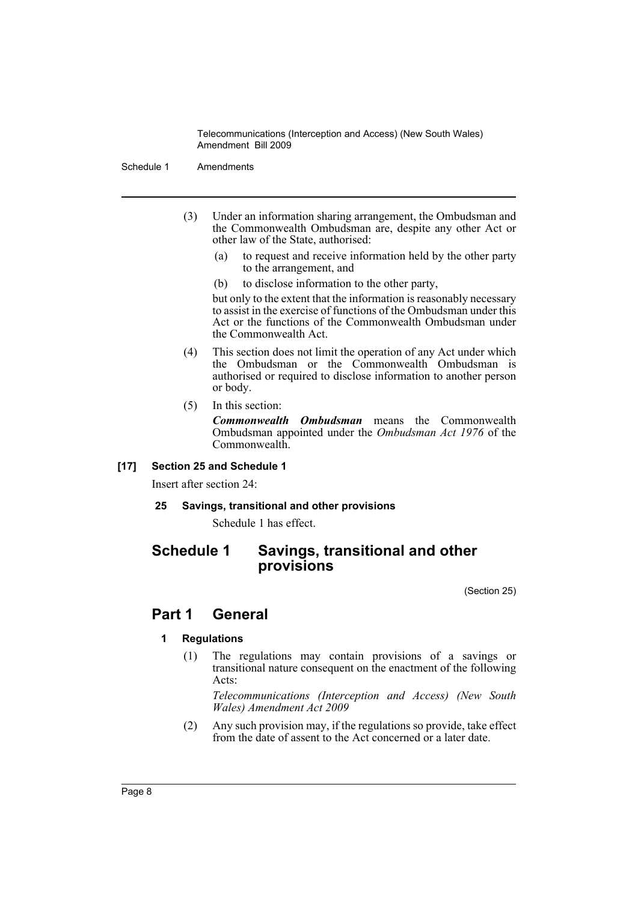Schedule 1 Amendments

- (3) Under an information sharing arrangement, the Ombudsman and the Commonwealth Ombudsman are, despite any other Act or other law of the State, authorised:
	- (a) to request and receive information held by the other party to the arrangement, and
	- (b) to disclose information to the other party,

but only to the extent that the information is reasonably necessary to assist in the exercise of functions of the Ombudsman under this Act or the functions of the Commonwealth Ombudsman under the Commonwealth Act.

- (4) This section does not limit the operation of any Act under which the Ombudsman or the Commonwealth Ombudsman is authorised or required to disclose information to another person or body.
- (5) In this section:

*Commonwealth Ombudsman* means the Commonwealth Ombudsman appointed under the *Ombudsman Act 1976* of the Commonwealth.

#### **[17] Section 25 and Schedule 1**

Insert after section 24:

**25 Savings, transitional and other provisions**

Schedule 1 has effect.

# **Schedule 1 Savings, transitional and other provisions**

(Section 25)

# **Part 1 General**

# **1 Regulations**

(1) The regulations may contain provisions of a savings or transitional nature consequent on the enactment of the following Acts:

*Telecommunications (Interception and Access) (New South Wales) Amendment Act 2009*

(2) Any such provision may, if the regulations so provide, take effect from the date of assent to the Act concerned or a later date.